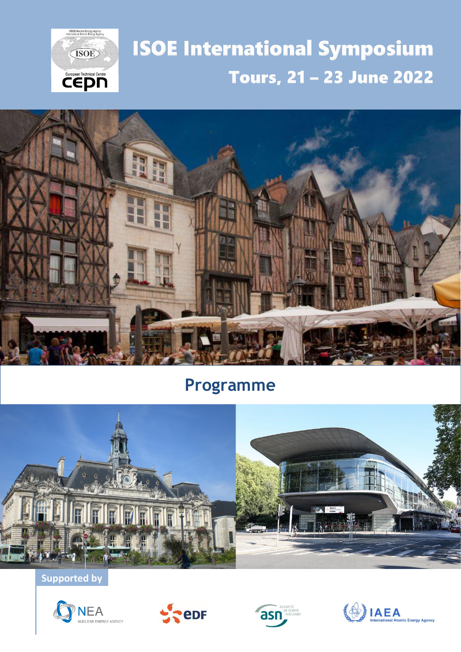

# **ISOE International Symposium** Tours, 21 - 23 June 2022



# **Programme**



**Supported by**







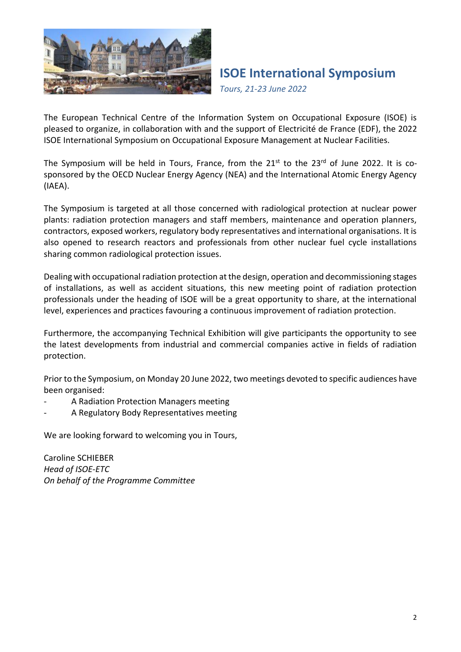

*Tours, 21-23 June 2022*

The European Technical Centre of the Information System on Occupational Exposure (ISOE) is pleased to organize, in collaboration with and the support of Electricité de France (EDF), the 2022 ISOE International Symposium on Occupational Exposure Management at Nuclear Facilities.

The Symposium will be held in Tours, France, from the 21<sup>st</sup> to the 23<sup>rd</sup> of June 2022. It is cosponsored by the OECD Nuclear Energy Agency (NEA) and the International Atomic Energy Agency (IAEA).

The Symposium is targeted at all those concerned with radiological protection at nuclear power plants: radiation protection managers and staff members, maintenance and operation planners, contractors, exposed workers, regulatory body representatives and international organisations. It is also opened to research reactors and professionals from other nuclear fuel cycle installations sharing common radiological protection issues.

Dealing with occupational radiation protection at the design, operation and decommissioning stages of installations, as well as accident situations, this new meeting point of radiation protection professionals under the heading of ISOE will be a great opportunity to share, at the international level, experiences and practices favouring a continuous improvement of radiation protection.

Furthermore, the accompanying Technical Exhibition will give participants the opportunity to see the latest developments from industrial and commercial companies active in fields of radiation protection.

Prior to the Symposium, on Monday 20 June 2022, two meetings devoted to specific audiences have been organised:

- A Radiation Protection Managers meeting
- A Regulatory Body Representatives meeting

We are looking forward to welcoming you in Tours,

Caroline SCHIEBER *Head of ISOE-ETC On behalf of the Programme Committee*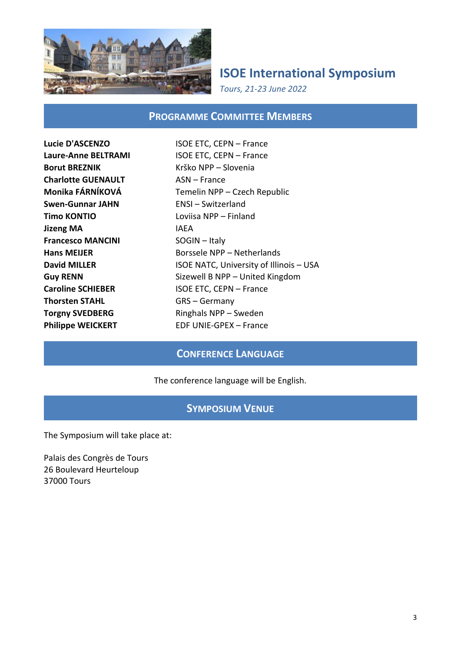

*Tours, 21-23 June 2022*

#### **PROGRAMME COMMITTEE MEMBERS**

**Borut BREZNIK** Krško NPP – Slovenia **Charlotte GUENAULT** ASN – France **Swen-Gunnar JAHN** ENSI – Switzerland **Timo KONTIO** Loviisa NPP – Finland **Jizeng MA IAEA Francesco MANCINI** SOGIN – Italy **Thorsten STAHL GRS** – Germany

**Lucie D'ASCENZO** ISOE ETC, CEPN – France **Laure-Anne BELTRAMI** ISOE ETC, CEPN – France **Monika FÁRNÍKOVÁ** Temelin NPP – Czech Republic **Hans MEIJER** Borssele NPP – Netherlands **David MILLER ISOE NATC, University of Illinois – USA Guy RENN** Sizewell B NPP – United Kingdom **Caroline SCHIEBER ISOE ETC, CEPN – France Torgny SVEDBERG** Ringhals NPP – Sweden **Philippe WEICKERT** EDF UNIE-GPEX – France

#### **CONFERENCE LANGUAGE**

#### The conference language will be English.

#### **SYMPOSIUM VENUE**

The Symposium will take place at:

Palais des Congrès de Tours 26 Boulevard Heurteloup 37000 Tours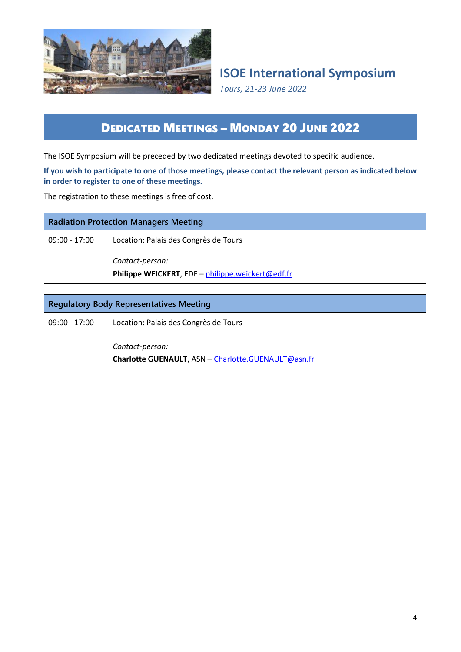

*Tours, 21-23 June 2022*

### DEDICATED MEETINGS – MONDAY 20 JUNE 2022

The ISOE Symposium will be preceded by two dedicated meetings devoted to specific audience.

#### **If you wish to participate to one of those meetings, please contact the relevant person as indicated below in order to register to one of these meetings.**

The registration to these meetings is free of cost.

| <b>Radiation Protection Managers Meeting</b> |                                                                      |
|----------------------------------------------|----------------------------------------------------------------------|
| $09:00 - 17:00$                              | Location: Palais des Congrès de Tours                                |
|                                              | Contact-person:<br>Philippe WEICKERT, EDF - philippe.weickert@edf.fr |

| <b>Regulatory Body Representatives Meeting</b> |                                                                        |
|------------------------------------------------|------------------------------------------------------------------------|
| 09:00 - 17:00                                  | Location: Palais des Congrès de Tours                                  |
|                                                | Contact-person:<br>Charlotte GUENAULT, ASN - Charlotte.GUENAULT@asn.fr |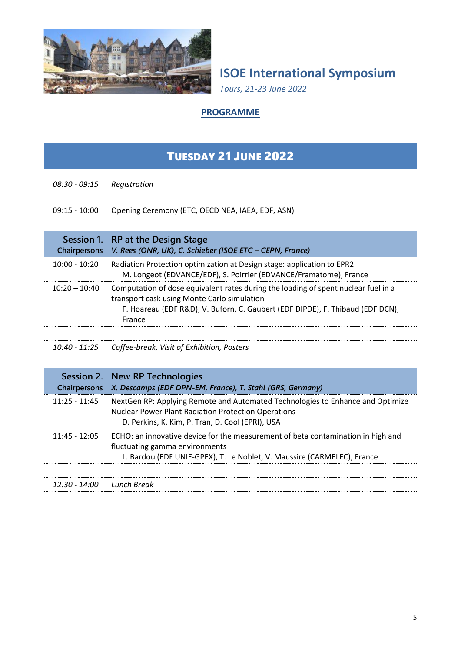

*Tours, 21-23 June 2022*

#### **PROGRAMME**

# TUESDAY 21 JUNE 2022

| $08:30 - 09:15$ Registration |                                                  |  |
|------------------------------|--------------------------------------------------|--|
|                              |                                                  |  |
| $09:15 - 10:00$              | Opening Ceremony (ETC, OECD NEA, IAEA, EDF, ASN) |  |

| <b>Chairpersons</b> | Session 1. RP at the Design Stage<br>V. Rees (ONR, UK), C. Schieber (ISOE ETC - CEPN, France)                                                                                                                                 |
|---------------------|-------------------------------------------------------------------------------------------------------------------------------------------------------------------------------------------------------------------------------|
| $10:00 - 10:20$     | Radiation Protection optimization at Design stage: application to EPR2<br>M. Longeot (EDVANCE/EDF), S. Poirrier (EDVANCE/Framatome), France                                                                                   |
| $10:20 - 10:40$     | Computation of dose equivalent rates during the loading of spent nuclear fuel in a<br>transport cask using Monte Carlo simulation<br>F. Hoareau (EDF R&D), V. Buforn, C. Gaubert (EDF DIPDE), F. Thibaud (EDF DCN),<br>France |

*10:40 - 11:25 Coffee-break, Visit of Exhibition, Posters*

| <b>Chairpersons</b> | Session 2. New RP Technologies<br>X. Descamps (EDF DPN-EM, France), T. Stahl (GRS, Germany)                                                                                                      |
|---------------------|--------------------------------------------------------------------------------------------------------------------------------------------------------------------------------------------------|
| $11:25 - 11:45$     | NextGen RP: Applying Remote and Automated Technologies to Enhance and Optimize<br><b>Nuclear Power Plant Radiation Protection Operations</b><br>D. Perkins, K. Kim, P. Tran, D. Cool (EPRI), USA |
| $11:45 - 12:05$     | ECHO: an innovative device for the measurement of beta contamination in high and<br>fluctuating gamma environments<br>L. Bardou (EDF UNIE-GPEX), T. Le Noblet, V. Maussire (CARMELEC), France    |

| 00 <sup>.</sup><br>`∙?∩ -<br>╭<br>__ | Lunch Break<br>___ |
|--------------------------------------|--------------------|
|                                      |                    |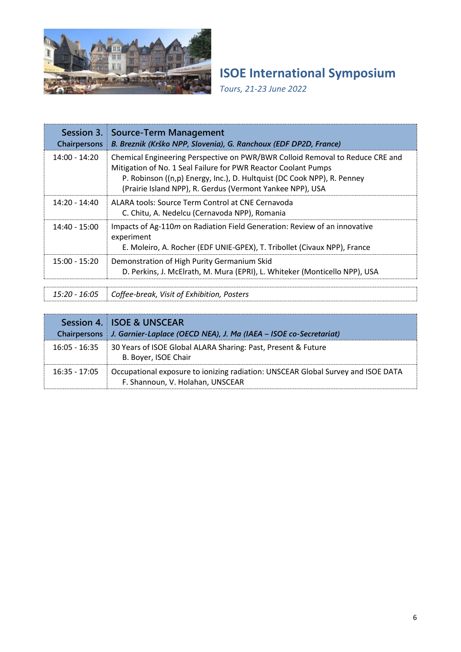

*Tours, 21-23 June 2022*

| <b>Chairpersons</b> | <b>Session 3. Source-Term Management</b><br>B. Breznik (Krško NPP, Slovenia), G. Ranchoux (EDF DP2D, France)                                                                                                                                                                            |
|---------------------|-----------------------------------------------------------------------------------------------------------------------------------------------------------------------------------------------------------------------------------------------------------------------------------------|
| $14:00 - 14:20$     | Chemical Engineering Perspective on PWR/BWR Colloid Removal to Reduce CRE and<br>Mitigation of No. 1 Seal Failure for PWR Reactor Coolant Pumps<br>P. Robinson ((n,p) Energy, Inc.), D. Hultquist (DC Cook NPP), R. Penney<br>(Prairie Island NPP), R. Gerdus (Vermont Yankee NPP), USA |
| $14:20 - 14:40$     | ALARA tools: Source Term Control at CNE Cernavoda<br>C. Chitu, A. Nedelcu (Cernavoda NPP), Romania                                                                                                                                                                                      |
| $14:40 - 15:00$     | Impacts of Ag-110m on Radiation Field Generation: Review of an innovative<br>experiment<br>E. Moleiro, A. Rocher (EDF UNIE-GPEX), T. Tribollet (Civaux NPP), France                                                                                                                     |
| $15:00 - 15:20$     | Demonstration of High Purity Germanium Skid<br>D. Perkins, J. McElrath, M. Mura (EPRI), L. Whiteker (Monticello NPP), USA                                                                                                                                                               |

*15:20 - 16:05 Coffee-break, Visit of Exhibition, Posters*

|                 | Session 4. ISOE & UNSCEAR<br>Chairpersons   J. Garnier-Laplace (OECD NEA), J. Ma (IAEA - ISOE co-Secretariat)        |
|-----------------|----------------------------------------------------------------------------------------------------------------------|
| $16:05 - 16:35$ | 30 Years of ISOE Global ALARA Sharing: Past, Present & Future<br>B. Boyer, ISOE Chair                                |
| $16:35 - 17:05$ | Occupational exposure to ionizing radiation: UNSCEAR Global Survey and ISOE DATA<br>F. Shannoun, V. Holahan, UNSCEAR |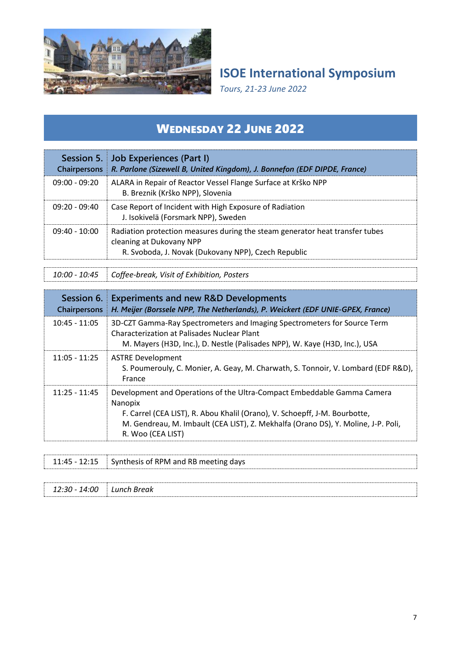

*Tours, 21-23 June 2022*

## WEDNESDAY 22 JUNE 2022

| <b>Chairpersons</b> | Session 5. Job Experiences (Part I)<br>R. Parlone (Sizewell B, United Kingdom), J. Bonnefon (EDF DIPDE, France)                                                 |
|---------------------|-----------------------------------------------------------------------------------------------------------------------------------------------------------------|
| $09:00 - 09:20$     | ALARA in Repair of Reactor Vessel Flange Surface at Krško NPP<br>B. Breznik (Krško NPP), Slovenia                                                               |
| $09:20 - 09:40$     | Case Report of Incident with High Exposure of Radiation<br>J. Isokivelä (Forsmark NPP), Sweden                                                                  |
| $09:40 - 10:00$     | Radiation protection measures during the steam generator heat transfer tubes<br>cleaning at Dukovany NPP<br>R. Svoboda, J. Novak (Dukovany NPP), Czech Republic |

*10:00 - 10:45 Coffee-break, Visit of Exhibition, Posters*

| Session 6.<br>Chairpersons | <b>Experiments and new R&amp;D Developments</b><br>H. Meijer (Borssele NPP, The Netherlands), P. Weickert (EDF UNIE-GPEX, France)                                                                                                                                          |
|----------------------------|----------------------------------------------------------------------------------------------------------------------------------------------------------------------------------------------------------------------------------------------------------------------------|
| $10:45 - 11:05$            | 3D-CZT Gamma-Ray Spectrometers and Imaging Spectrometers for Source Term<br>Characterization at Palisades Nuclear Plant<br>M. Mayers (H3D, Inc.), D. Nestle (Palisades NPP), W. Kaye (H3D, Inc.), USA                                                                      |
| $11:05 - 11:25$            | <b>ASTRE Development</b><br>S. Poumerouly, C. Monier, A. Geay, M. Charwath, S. Tonnoir, V. Lombard (EDF R&D),<br>France                                                                                                                                                    |
| $11:25 - 11:45$            | Development and Operations of the Ultra-Compact Embeddable Gamma Camera<br>Nanopix<br>F. Carrel (CEA LIST), R. Abou Khalil (Orano), V. Schoepff, J-M. Bourbotte,<br>M. Gendreau, M. Imbault (CEA LIST), Z. Mekhalfa (Orano DS), Y. Moline, J-P. Poli,<br>R. Woo (CEA LIST) |

|               | 11:45 - 12:15 Synthesis of RPM and RB meeting days |
|---------------|----------------------------------------------------|
|               |                                                    |
| 12:30 - 14:00 | Lunch Break                                        |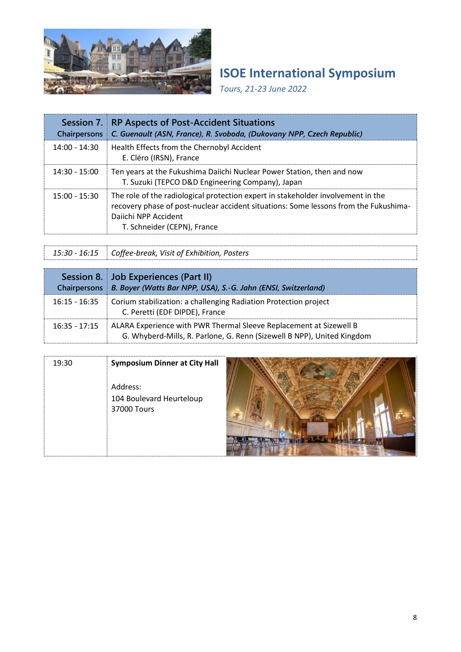

*Tours, 21-23 June 2022*

| Session 7.<br><b>Chairpersons</b> | <b>RP Aspects of Post-Accident Situations</b><br>C. Guenault (ASN, France), R. Svoboda, (Dukovany NPP, Czech Republic)                                                                                                          |
|-----------------------------------|---------------------------------------------------------------------------------------------------------------------------------------------------------------------------------------------------------------------------------|
| $14:00 - 14:30$                   | Health Effects from the Chernobyl Accident<br>E. Cléro (IRSN), France                                                                                                                                                           |
| $14:30 - 15:00$                   | Ten years at the Fukushima Daiichi Nuclear Power Station, then and now<br>T. Suzuki (TEPCO D&D Engineering Company), Japan                                                                                                      |
| $15:00 - 15:30$                   | The role of the radiological protection expert in stakeholder involvement in the<br>recovery phase of post-nuclear accident situations: Some lessons from the Fukushima-<br>Daiichi NPP Accident<br>T. Schneider (CEPN), France |

*15:30 - 16:15 Coffee-break, Visit of Exhibition, Posters*

| <b>Chairpersons</b> | Session 8. Job Experiences (Part II)<br>B. Boyer (Watts Bar NPP, USA), S.-G. Jahn (ENSI, Switzerland)                                        |
|---------------------|----------------------------------------------------------------------------------------------------------------------------------------------|
| $16:15 - 16:35$     | Corium stabilization: a challenging Radiation Protection project<br>C. Peretti (EDF DIPDE), France                                           |
| $16:35 - 17:15$     | ALARA Experience with PWR Thermal Sleeve Replacement at Sizewell B<br>G. Whyberd-Mills, R. Parlone, G. Renn (Sizewell B NPP), United Kingdom |

| 19:30 | <b>Symposium Dinner at City Hall</b><br>Address:<br>104 Boulevard Heurteloup<br>37000 Tours |  |
|-------|---------------------------------------------------------------------------------------------|--|
|       |                                                                                             |  |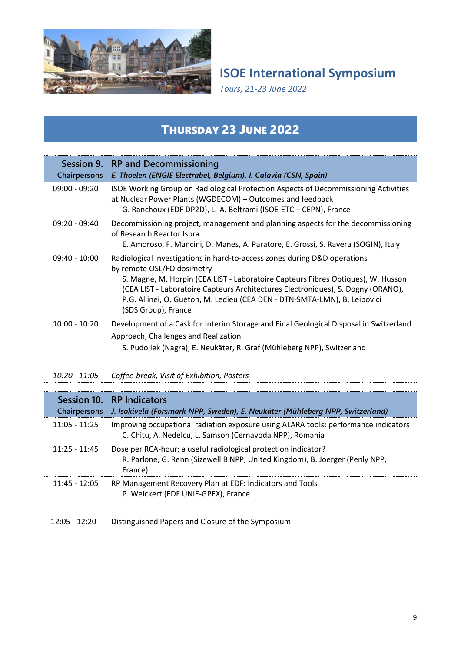

*Tours, 21-23 June 2022*

# THURSDAY 23 JUNE 2022

| Session 9.<br><b>Chairpersons</b> | <b>RP</b> and Decommissioning<br>E. Thoelen (ENGIE Electrabel, Belgium), I. Calavia (CSN, Spain)                                                                                                                                                                                                                                                                                    |
|-----------------------------------|-------------------------------------------------------------------------------------------------------------------------------------------------------------------------------------------------------------------------------------------------------------------------------------------------------------------------------------------------------------------------------------|
| $09:00 - 09:20$                   | ISOE Working Group on Radiological Protection Aspects of Decommissioning Activities<br>at Nuclear Power Plants (WGDECOM) - Outcomes and feedback<br>G. Ranchoux (EDF DP2D), L.-A. Beltrami (ISOE-ETC - CEPN), France                                                                                                                                                                |
| $09:20 - 09:40$                   | Decommissioning project, management and planning aspects for the decommissioning<br>of Research Reactor Ispra<br>E. Amoroso, F. Mancini, D. Manes, A. Paratore, E. Grossi, S. Ravera (SOGIN), Italy                                                                                                                                                                                 |
| $09:40 - 10:00$                   | Radiological investigations in hard-to-access zones during D&D operations<br>by remote OSL/FO dosimetry<br>S. Magne, M. Horpin (CEA LIST - Laboratoire Capteurs Fibres Optiques), W. Husson<br>(CEA LIST - Laboratoire Capteurs Architectures Electroniques), S. Dogny (ORANO),<br>P.G. Allinei, O. Guéton, M. Ledieu (CEA DEN - DTN-SMTA-LMN), B. Leibovici<br>(SDS Group), France |
| $10:00 - 10:20$                   | Development of a Cask for Interim Storage and Final Geological Disposal in Switzerland<br>Approach, Challenges and Realization<br>S. Pudollek (Nagra), E. Neukäter, R. Graf (Mühleberg NPP), Switzerland                                                                                                                                                                            |

| Chairpersons    | Session 10. RP Indicators<br>J. Isokivelä (Forsmark NPP, Sweden), E. Neukäter (Mühleberg NPP, Switzerland)                                                |
|-----------------|-----------------------------------------------------------------------------------------------------------------------------------------------------------|
| $11:05 - 11:25$ | Improving occupational radiation exposure using ALARA tools: performance indicators<br>C. Chitu, A. Nedelcu, L. Samson (Cernavoda NPP), Romania           |
| $11:25 - 11:45$ | Dose per RCA-hour; a useful radiological protection indicator?<br>R. Parlone, G. Renn (Sizewell B NPP, United Kingdom), B. Joerger (Penly NPP,<br>France) |
| $11:45 - 12:05$ | RP Management Recovery Plan at EDF: Indicators and Tools<br>P. Weickert (EDF UNIE-GPEX), France                                                           |

| 12:05 - 12:20 | <b>IDIMI</b> Distinguished Papers and Closure of the Symposium |
|---------------|----------------------------------------------------------------|
|               |                                                                |